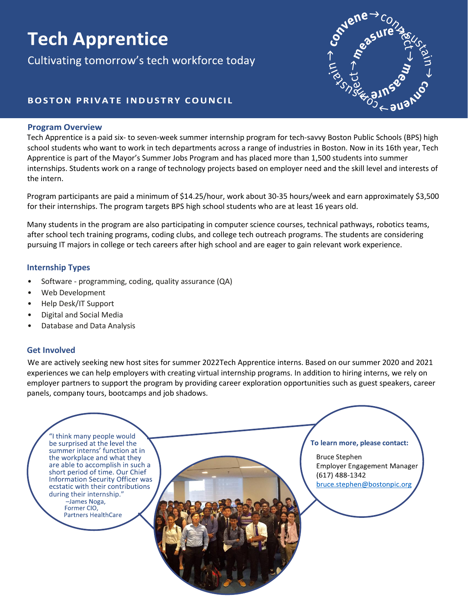# **Tech Apprentice**

Cultivating tomorrow's tech workforce today



### **BOSTON PRIVATE INDUSTRY COUNCIL**

#### **Program Overview**

Tech Apprentice is a paid six- to seven-week summer internship program for tech-savvy Boston Public Schools (BPS) high school students who want to work in tech departments across a range of industries in Boston. Now in its 16th year, Tech Apprentice is part of the Mayor's Summer Jobs Program and has placed more than 1,500 students into summer internships. Students work on a range of technology projects based on employer need and the skill level and interests of the intern.

Program participants are paid a minimum of \$14.25/hour, work about 30-35 hours/week and earn approximately \$3,500 for their internships. The program targets BPS high school students who are at least 16 years old.

Many students in the program are also participating in computer science courses, technical pathways, robotics teams, after school tech training programs, coding clubs, and college tech outreach programs. The students are considering pursuing IT majors in college or tech careers after high school and are eager to gain relevant work experience.

#### **Internship Types**

- Software programming, coding, quality assurance (QA)
- Web Development
- Help Desk/IT Support
- Digital and Social Media
- Database and Data Analysis

#### **Get Involved**

We are actively seeking new host sites for summer 2022Tech Apprentice interns. Based on our summer 2020 and 2021 experiences we can help employers with creating virtual internship programs. In addition to hiring interns, we rely on employer partners to support the program by providing career exploration opportunities such as guest speakers, career panels, company tours, bootcamps and job shadows.